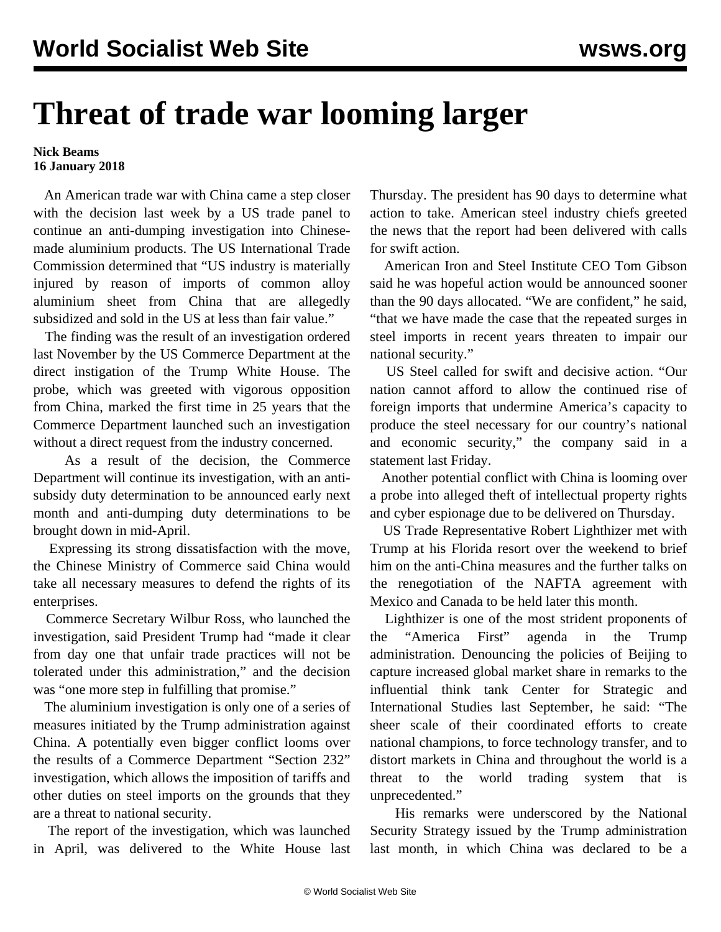## **Threat of trade war looming larger**

## **Nick Beams 16 January 2018**

 An American trade war with China came a step closer with the decision last week by a US trade panel to continue an anti-dumping investigation into Chinesemade aluminium products. The US International Trade Commission determined that "US industry is materially injured by reason of imports of common alloy aluminium sheet from China that are allegedly subsidized and sold in the US at less than fair value."

 The finding was the result of an investigation ordered last November by the US Commerce Department at the direct instigation of the Trump White House. The probe, which was greeted with vigorous opposition from China, marked the first time in 25 years that the Commerce Department launched such an investigation without a direct request from the industry concerned.

 As a result of the decision, the Commerce Department will continue its investigation, with an antisubsidy duty determination to be announced early next month and anti-dumping duty determinations to be brought down in mid-April.

 Expressing its strong dissatisfaction with the move, the Chinese Ministry of Commerce said China would take all necessary measures to defend the rights of its enterprises.

 Commerce Secretary Wilbur Ross, who launched the investigation, said President Trump had "made it clear from day one that unfair trade practices will not be tolerated under this administration," and the decision was "one more step in fulfilling that promise."

 The aluminium investigation is only one of a series of measures initiated by the Trump administration against China. A potentially even bigger conflict looms over the results of a Commerce Department "Section 232" investigation, which allows the imposition of tariffs and other duties on steel imports on the grounds that they are a threat to national security.

 The report of the investigation, which was launched in April, was delivered to the White House last Thursday. The president has 90 days to determine what action to take. American steel industry chiefs greeted the news that the report had been delivered with calls for swift action.

 American Iron and Steel Institute CEO Tom Gibson said he was hopeful action would be announced sooner than the 90 days allocated. "We are confident," he said, "that we have made the case that the repeated surges in steel imports in recent years threaten to impair our national security."

 US Steel called for swift and decisive action. "Our nation cannot afford to allow the continued rise of foreign imports that undermine America's capacity to produce the steel necessary for our country's national and economic security," the company said in a statement last Friday.

 Another potential conflict with China is looming over a probe into alleged theft of intellectual property rights and cyber espionage due to be delivered on Thursday.

 US Trade Representative Robert Lighthizer met with Trump at his Florida resort over the weekend to brief him on the anti-China measures and the further talks on the renegotiation of the NAFTA agreement with Mexico and Canada to be held later this month.

 Lighthizer is one of the most strident proponents of the "America First" agenda in the Trump administration. Denouncing the policies of Beijing to capture increased global market share in remarks to the influential think tank Center for Strategic and International Studies last September, he said: "The sheer scale of their coordinated efforts to create national champions, to force technology transfer, and to distort markets in China and throughout the world is a threat to the world trading system that is unprecedented."

 His remarks were underscored by the National Security Strategy issued by the Trump administration last month, in which China was declared to be a